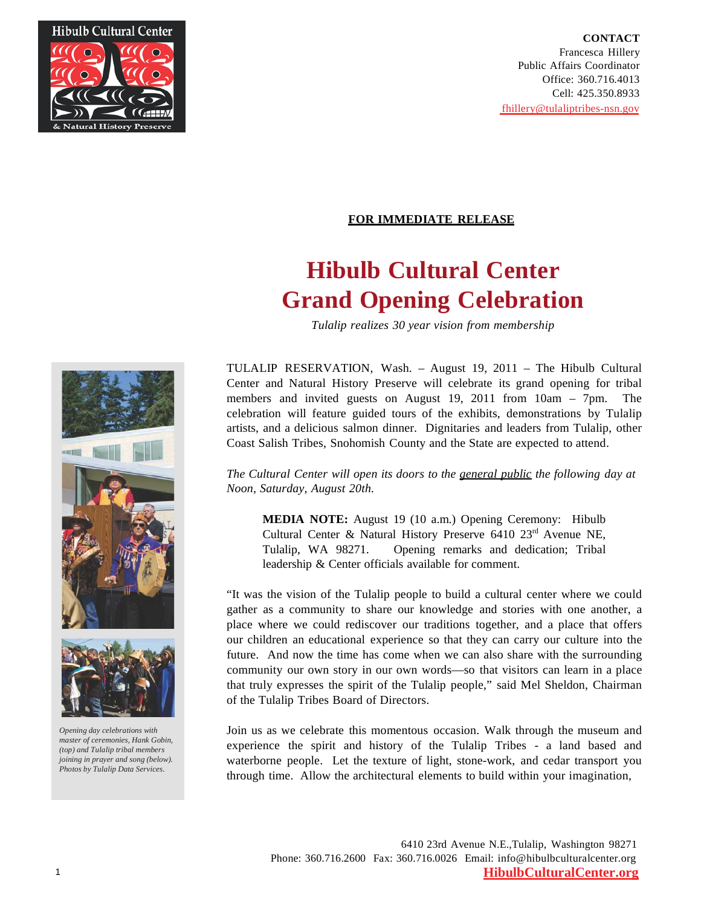

# **FOR IMMEDIATE RELEASE**

# **Hibulb Cultural Center Grand Opening Celebration**

*Tulalip realizes 30 year vision from membership*

TULALIP RESERVATION, Wash. – August 19, 2011 – The Hibulb Cultural Center and Natural History Preserve will celebrate its grand opening for tribal members and invited guests on August 19, 2011 from 10am – 7pm. The celebration will feature guided tours of the exhibits, demonstrations by Tulalip artists, and a delicious salmon dinner. Dignitaries and leaders from Tulalip, other Coast Salish Tribes, Snohomish County and the State are expected to attend.

*The Cultural Center will open its doors to the general public the following day at Noon, Saturday, August 20th.*

**MEDIA NOTE:** August 19 (10 a.m.) Opening Ceremony: Hibulb Cultural Center & Natural History Preserve  $6410$   $23<sup>rd</sup>$  Avenue NE, Tulalip, WA 98271. Opening remarks and dedication; Tribal leadership & Center officials available for comment.

"It was the vision of the Tulalip people to build a cultural center where we could gather as a community to share our knowledge and stories with one another, a place where we could rediscover our traditions together, and a place that offers our children an educational experience so that they can carry our culture into the future. And now the time has come when we can also share with the surrounding community our own story in our own words—so that visitors can learn in a place that truly expresses the spirit of the Tulalip people," said Mel Sheldon, Chairman of the Tulalip Tribes Board of Directors.

Join us as we celebrate this momentous occasion. Walk through the museum and experience the spirit and history of the Tulalip Tribes - a land based and waterborne people. Let the texture of light, stone-work, and cedar transport you through time. Allow the architectural elements to build within your imagination,





*Opening day celebrations with master of ceremonies, Hank Gobin, (top) and Tulalip tribal members joining in prayer and song (below). Photos by Tulalip Data Services.*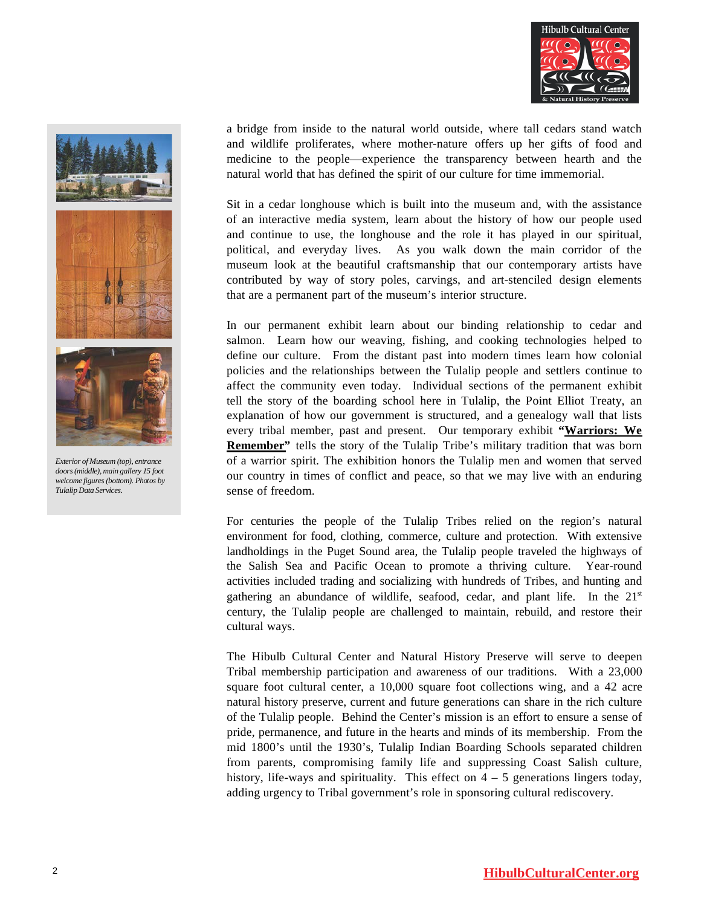





*Exterior of Museum (top), entrance doors(middle), main gallery 15 foot welcome figures (bottom). Photos by Tulalip Data Services.*

a bridge from inside to the natural world outside, where tall cedars stand watch and wildlife proliferates, where mother-nature offers up her gifts of food and medicine to the people—experience the transparency between hearth and the natural world that has defined the spirit of our culture for time immemorial.

Sit in a cedar longhouse which is built into the museum and, with the assistance of an interactive media system, learn about the history of how our people used and continue to use, the longhouse and the role it has played in our spiritual, political, and everyday lives. As you walk down the main corridor of the museum look at the beautiful craftsmanship that our contemporary artists have contributed by way of story poles, carvings, and art-stenciled design elements that are a permanent part of the museum's interior structure.

In our permanent exhibit learn about our binding relationship to cedar and salmon. Learn how our weaving, fishing, and cooking technologies helped to define our culture. From the distant past into modern times learn how colonial policies and the relationships between the Tulalip people and settlers continue to affect the community even today. Individual sections of the permanent exhibit tell the story of the boarding school here in Tulalip, the Point Elliot Treaty, an explanation of how our government is structured, and a genealogy wall that lists every tribal member, past and present. Our temporary exhibit **"Warriors: We Remember**" tells the story of the Tulalip Tribe's military tradition that was born of a warrior spirit. The exhibition honors the Tulalip men and women that served our country in times of conflict and peace, so that we may live with an enduring sense of freedom.

For centuries the people of the Tulalip Tribes relied on the region's natural environment for food, clothing, commerce, culture and protection. With extensive landholdings in the Puget Sound area, the Tulalip people traveled the highways of the Salish Sea and Pacific Ocean to promote a thriving culture. Year-round activities included trading and socializing with hundreds of Tribes, and hunting and gathering an abundance of wildlife, seafood, cedar, and plant life. In the  $21<sup>st</sup>$ century, the Tulalip people are challenged to maintain, rebuild, and restore their cultural ways.

The Hibulb Cultural Center and Natural History Preserve will serve to deepen Tribal membership participation and awareness of our traditions. With a 23,000 square foot cultural center, a 10,000 square foot collections wing, and a 42 acre natural history preserve, current and future generations can share in the rich culture of the Tulalip people. Behind the Center's mission is an effort to ensure a sense of pride, permanence, and future in the hearts and minds of its membership. From the mid 1800's until the 1930's, Tulalip Indian Boarding Schools separated children from parents, compromising family life and suppressing Coast Salish culture, history, life-ways and spirituality. This effect on  $4 - 5$  generations lingers today, adding urgency to Tribal government's role in sponsoring cultural rediscovery.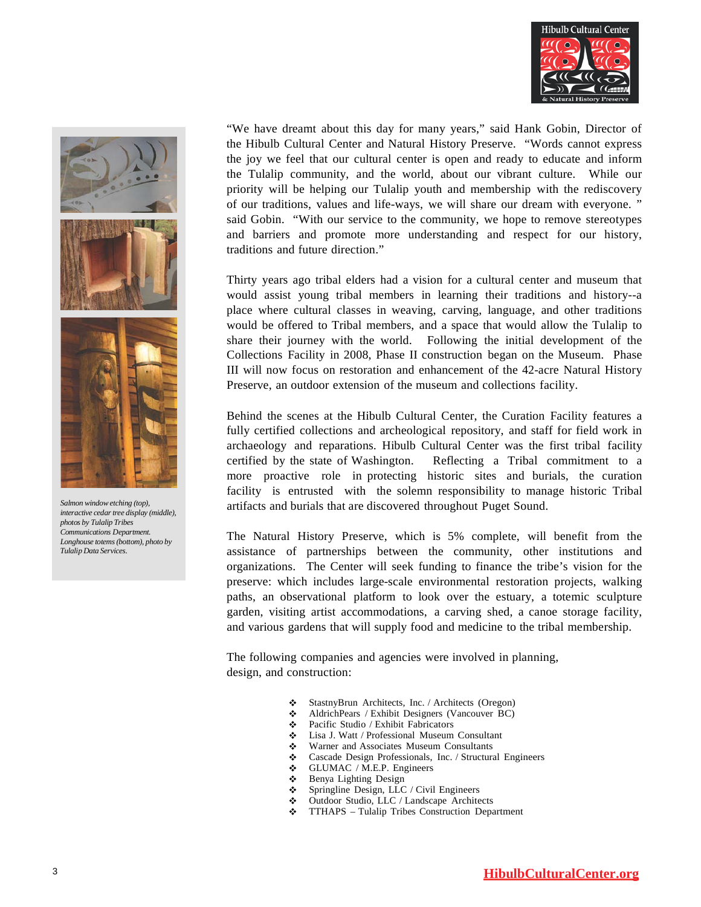



*Salmon windowetching (top),*   $interactive$  *cedar tree display* (middle),

*photos by Tulalip Tribes Communications Department. Longhouse totems(bottom), photo by* 

*Tulalip Data Services.*

"We have dreamt about this day for many years," said Hank Gobin, Director of the Hibulb Cultural Center and Natural History Preserve. "Words cannot express the joy we feel that our cultural center is open and ready to educate and inform the Tulalip community, and the world, about our vibrant culture. While our priority will be helping our Tulalip youth and membership with the rediscovery of our traditions, values and life-ways, we will share our dream with everyone. " said Gobin. "With our service to the community, we hope to remove stereotypes and barriers and promote more understanding and respect for our history, traditions and future direction."

Thirty years ago tribal elders had a vision for a cultural center and museum that would assist young tribal members in learning their traditions and history--a place where cultural classes in weaving, carving, language, and other traditions would be offered to Tribal members, and a space that would allow the Tulalip to share their journey with the world. Following the initial development of the Collections Facility in 2008, Phase II construction began on the Museum. Phase III will now focus on restoration and enhancement of the 42-acre Natural History Preserve, an outdoor extension of the museum and collections facility.

Behind the scenes at the Hibulb Cultural Center, the Curation Facility features a fully certified collections and archeological repository, and staff for field work in archaeology and reparations. Hibulb Cultural Center was the first tribal facility certified by the state of Washington. Reflecting a Tribal commitment to a more proactive role in protecting historic sites and burials, the curation facility is entrusted with the solemn responsibility to manage historic Tribal artifacts and burials that are discovered throughout Puget Sound.

The Natural History Preserve, which is 5% complete, will benefit from the assistance of partnerships between the community, other institutions and organizations. The Center will seek funding to finance the tribe's vision for the preserve: which includes large-scale environmental restoration projects, walking paths, an observational platform to look over the estuary, a totemic sculpture garden, visiting artist accommodations, a carving shed, a canoe storage facility, and various gardens that will supply food and medicine to the tribal membership.

The following companies and agencies were involved in planning, design, and construction:

- StastnyBrun Architects, Inc. / Architects (Oregon)
- AldrichPears / Exhibit Designers (Vancouver BC)
- Pacific Studio / Exhibit Fabricators
- Lisa J. Watt / Professional Museum Consultant
- Warner and Associates Museum Consultants<br>• Cascade Design Professionals Inc. / Structura
- ❖ Cascade Design Professionals, Inc. / Structural Engineers<br>❖ GLUMAC / M.E.P. Engineers
- GLUMAC / M.E.P. Engineers
- Benya Lighting Design
- Springline Design, LLC / Civil Engineers
- Outdoor Studio, LLC / Landscape Architects
- TTHAPS Tulalip Tribes Construction Department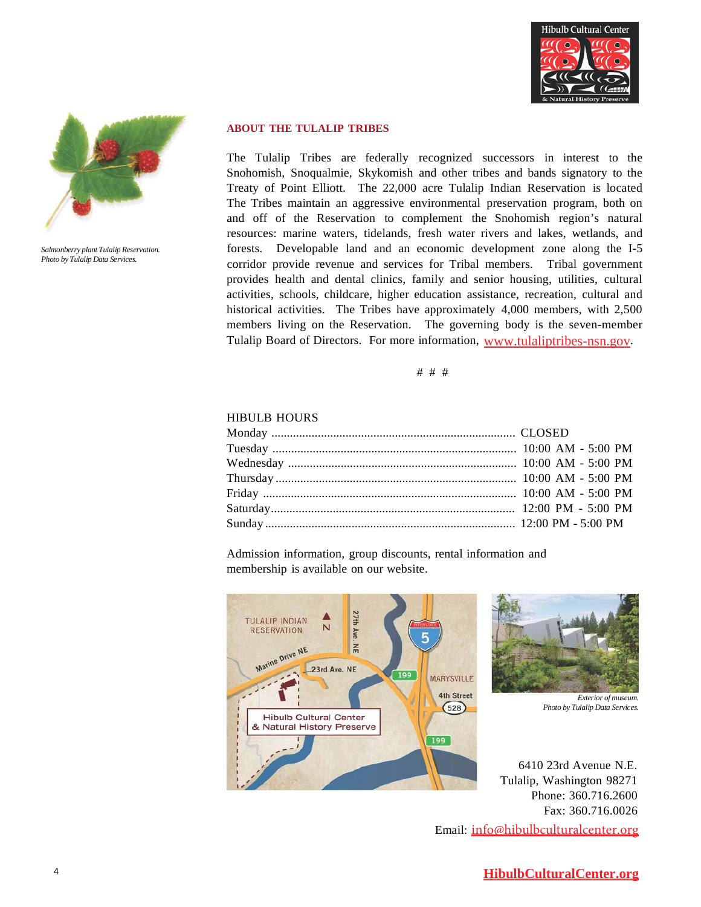



*Salmonberry plant Tulalip Reservation. Photo by Tulalip Data Services.*

#### **ABOUT THE TULALIP TRIBES**

The Tulalip Tribes are federally recognized successors in interest to the Snohomish, Snoqualmie, Skykomish and other tribes and bands signatory to the Treaty of Point Elliott. The 22,000 acre Tulalip Indian Reservation is located The Tribes maintain an aggressive environmental preservation program, both on and off of the Reservation to complement the Snohomish region's natural resources: marine waters, tidelands, fresh water rivers and lakes, wetlands, and forests. Developable land and an economic development zone along the I-5 corridor provide revenue and services for Tribal members. Tribal government provides health and dental clinics, family and senior housing, utilities, cultural activities, schools, childcare, higher education assistance, recreation, cultural and historical activities. The Tribes have approximately 4,000 members, with 2,500 members living on the Reservation. The governing body is the seven-member Tulalip Board of Directors. For more information, [www.tulaliptribes-nsn.gov.](http://www.tulaliptribes-nsn.gov/)

# # #

#### HIBULB HOURS

Admission information, group discounts, rental information and membership is available on our website.





*Exterior of museum. Photo by Tulalip Data Services.*

6410 23rd Avenue N.E. Tulalip, Washington 98271 Phone: 360.716.2600 Fax: 360.716.0026

Email: [info@hibulbculturalcenter.org](mailto:info@hibulbculturalcenter.org)

# **HibulbCulturalCenter.org**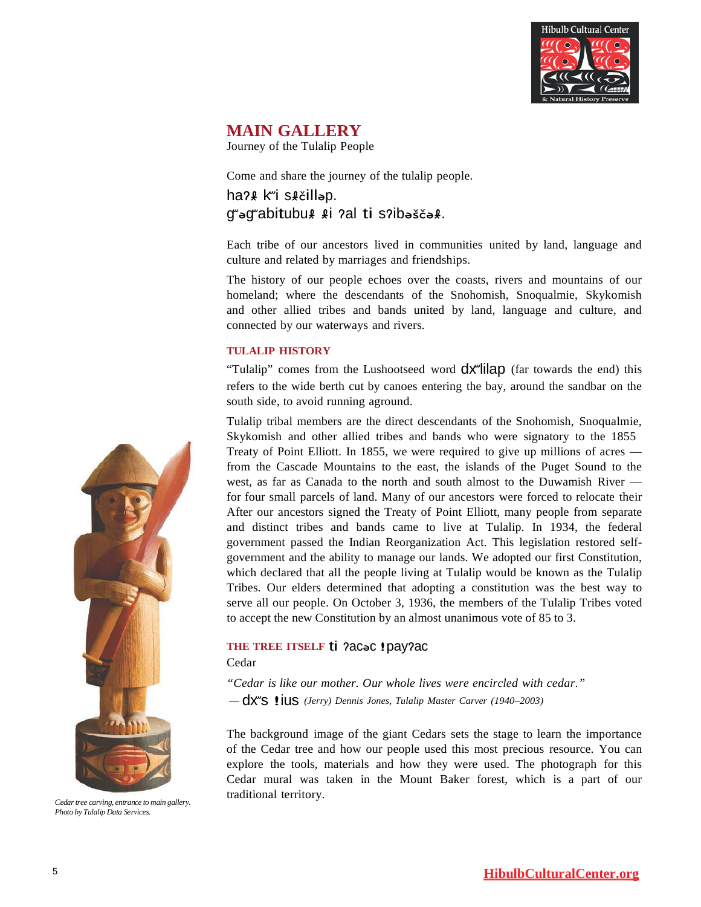

# **MAIN GALLERY**

Journey of the Tulalip People

Come and share the journey of the tulalip people.

# haʔɬ kʷi sɬčilləp. <sup>g</sup>ʷəgʷabitubu<sup>ɬ</sup> ɬi <sup>ʔ</sup>al ti sʔibəščəɬ.

Each tribe of our ancestors lived in communities united by land, language and culture and related by marriages and friendships.

The history of our people echoes over the coasts, rivers and mountains of our homeland; where the descendants of the Snohomish, Snoqualmie, Skykomish and other allied tribes and bands united by land, language and culture, and connected by our waterways and rivers.

#### **TULALIP HISTORY**

"Tulalip" comes from the Lushootseed word  $dx^{\prime}$ lilap (far towards the end) this refers to the wide berth cut by canoes entering the bay, around the sandbar on the south side, to avoid running aground.

Tulalip tribal members are the direct descendants of the Snohomish, Snoqualmie, Skykomish and other allied tribes and bands who were signatory to the 1855 Treaty of Point Elliott. In 1855, we were required to give up millions of acres from the Cascade Mountains to the east, the islands of the Puget Sound to the west, as far as Canada to the north and south almost to the Duwamish River for four small parcels of land. Many of our ancestors were forced to relocate their After our ancestors signed the Treaty of Point Elliott, many people from separate and distinct tribes and bands came to live at Tulalip. In 1934, the federal government passed the Indian Reorganization Act. This legislation restored selfgovernment and the ability to manage our lands. We adopted our first Constitution, which declared that all the people living at Tulalip would be known as the Tulalip Tribes. Our elders determined that adopting a constitution was the best way to serve all our people. On October 3, 1936, the members of the Tulalip Tribes voted to accept the new Constitution by an almost unanimous vote of 85 to 3.

# **THE TREE ITSELF** ti <sup>ʔ</sup>acə<sup>c</sup> !payʔac

Cedar

*"Cedar is like our mother. Our whole lives were encircled with cedar."* — dxʷ<sup>s</sup> !ius *(Jerry) Dennis Jones, Tulalip Master Carver (1940–2003)*

The background image of the giant Cedars sets the stage to learn the importance of the Cedar tree and how our people used this most precious resource. You can explore the tools, materials and how they were used. The photograph for this Cedar mural was taken in the Mount Baker forest, which is a part of our traditional territory.



*Cedartree carving, entrance to main gallery. Photo by Tulalip Data Services.*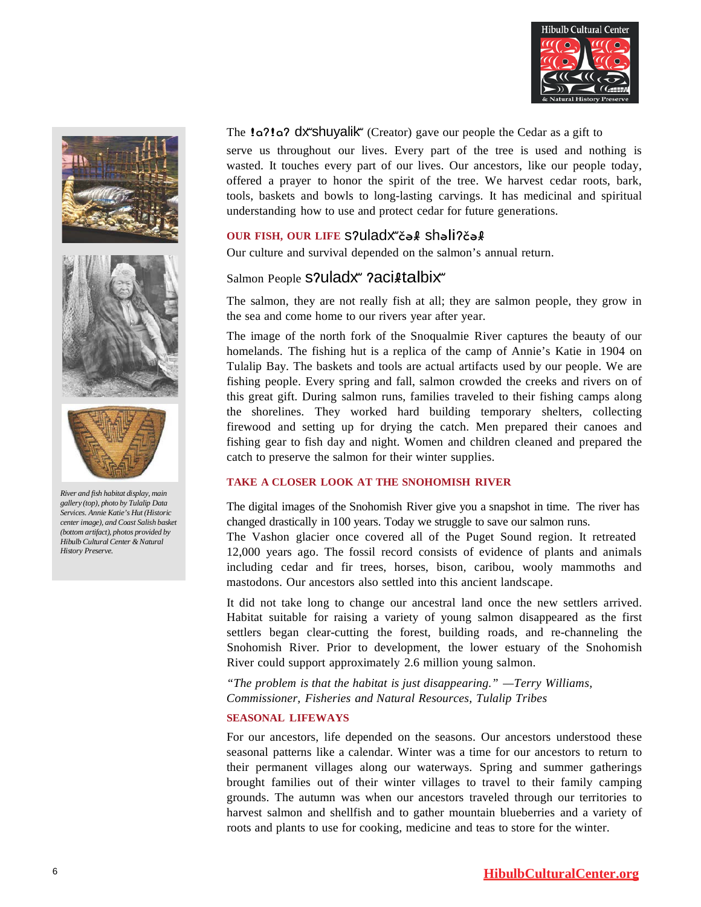





*River and fish habitat display, main gallery (top), photo by Tulalip Data Services. Annie Katie's Hut (Historic center image), and Coast Salish basket (bottom artifact), photos provided by*   $Hibulb$  *Cultural Center & Natural History Preserve.*

The **!a?!a? dx shuyalik** (Creator) gave our people the Cedar as a gift to

serve us throughout our lives. Every part of the tree is used and nothing is wasted. It touches every part of our lives. Our ancestors, like our people today, offered a prayer to honor the spirit of the tree. We harvest cedar roots, bark, tools, baskets and bowls to long-lasting carvings. It has medicinal and spiritual understanding how to use and protect cedar for future generations.

# **OUR FISH, OUR LIFE** sʔuladxʷčəɬ shəliʔčəɬ

Our culture and survival depended on the salmon's annual return.

# Salmon People S?uladx" ?aci#talbix"

The salmon, they are not really fish at all; they are salmon people, they grow in the sea and come home to our rivers year after year.

The image of the north fork of the Snoqualmie River captures the beauty of our homelands. The fishing hut is a replica of the camp of Annie's Katie in 1904 on Tulalip Bay. The baskets and tools are actual artifacts used by our people. We are fishing people. Every spring and fall, salmon crowded the creeks and rivers on of this great gift. During salmon runs, families traveled to their fishing camps along the shorelines. They worked hard building temporary shelters, collecting firewood and setting up for drying the catch. Men prepared their canoes and fishing gear to fish day and night. Women and children cleaned and prepared the catch to preserve the salmon for their winter supplies.

# **TAKE A CLOSER LOOK AT THE SNOHOMISH RIVER**

The digital images of the Snohomish River give you a snapshot in time. The river has changed drastically in 100 years. Today we struggle to save our salmon runs.

The Vashon glacier once covered all of the Puget Sound region. It retreated 12,000 years ago. The fossil record consists of evidence of plants and animals including cedar and fir trees, horses, bison, caribou, wooly mammoths and mastodons. Our ancestors also settled into this ancient landscape.

It did not take long to change our ancestral land once the new settlers arrived. Habitat suitable for raising a variety of young salmon disappeared as the first settlers began clear-cutting the forest, building roads, and re-channeling the Snohomish River. Prior to development, the lower estuary of the Snohomish River could support approximately 2.6 million young salmon.

*"The problem is that the habitat is just disappearing." —Terry Williams, Commissioner, Fisheries and Natural Resources, Tulalip Tribes*

#### **SEASONAL LIFEWAYS**

For our ancestors, life depended on the seasons. Our ancestors understood these seasonal patterns like a calendar. Winter was a time for our ancestors to return to their permanent villages along our waterways. Spring and summer gatherings brought families out of their winter villages to travel to their family camping grounds. The autumn was when our ancestors traveled through our territories to harvest salmon and shellfish and to gather mountain blueberries and a variety of roots and plants to use for cooking, medicine and teas to store for the winter.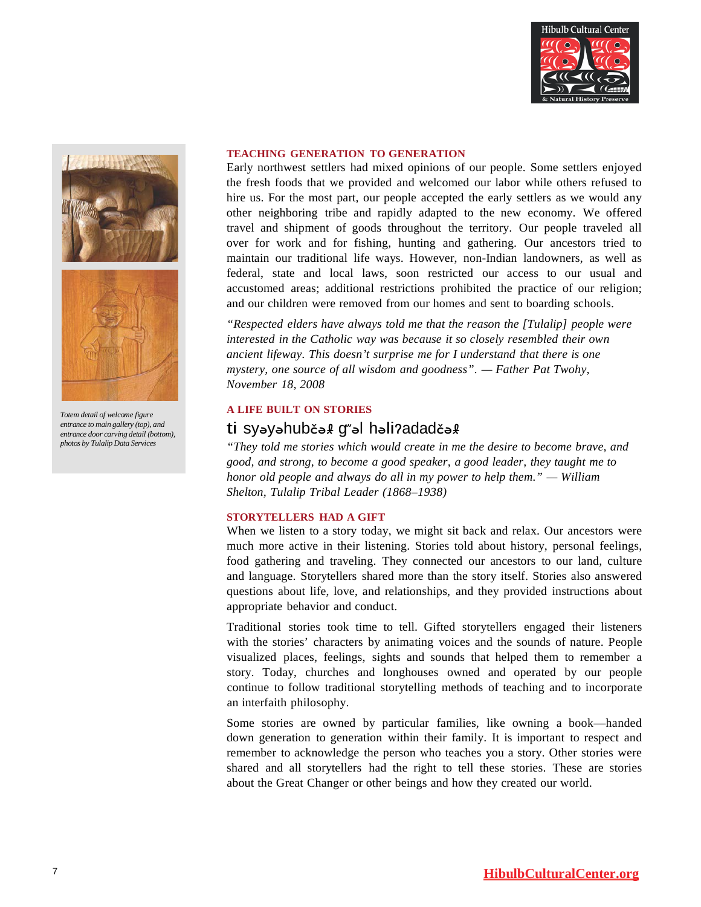





*Totem detail of welcome figure entrance to main gallery (top), and entrance door carving detail (bottom), photos by Tulalip Data Services*

#### **TEACHING GENERATION TO GENERATION**

Early northwest settlers had mixed opinions of our people. Some settlers enjoyed the fresh foods that we provided and welcomed our labor while others refused to hire us. For the most part, our people accepted the early settlers as we would any other neighboring tribe and rapidly adapted to the new economy. We offered travel and shipment of goods throughout the territory. Our people traveled all over for work and for fishing, hunting and gathering. Our ancestors tried to maintain our traditional life ways. However, non-Indian landowners, as well as federal, state and local laws, soon restricted our access to our usual and accustomed areas; additional restrictions prohibited the practice of our religion; and our children were removed from our homes and sent to boarding schools.

*"Respected elders have always told me that the reason the [Tulalip] people were interested in the Catholic way was because it so closely resembled their own ancient lifeway. This doesn't surprise me for I understand that there is one mystery, one source of all wisdom and goodness". — Father Pat Twohy, November 18, 2008*

#### **A LIFE BUILT ON STORIES**

# ti syəyəhubčəɬ gʷəl həliʔadadčəɬ

*"They told me stories which would create in me the desire to become brave, and good, and strong, to become a good speaker, a good leader, they taught me to honor old people and always do all in my power to help them." — William Shelton, Tulalip Tribal Leader (1868–1938)*

#### **STORYTELLERS HAD A GIFT**

When we listen to a story today, we might sit back and relax. Our ancestors were much more active in their listening. Stories told about history, personal feelings, food gathering and traveling. They connected our ancestors to our land, culture and language. Storytellers shared more than the story itself. Stories also answered questions about life, love, and relationships, and they provided instructions about appropriate behavior and conduct.

Traditional stories took time to tell. Gifted storytellers engaged their listeners with the stories' characters by animating voices and the sounds of nature. People visualized places, feelings, sights and sounds that helped them to remember a story. Today, churches and longhouses owned and operated by our people continue to follow traditional storytelling methods of teaching and to incorporate an interfaith philosophy.

Some stories are owned by particular families, like owning a book—handed down generation to generation within their family. It is important to respect and remember to acknowledge the person who teaches you a story. Other stories were shared and all storytellers had the right to tell these stories. These are stories about the Great Changer or other beings and how they created our world.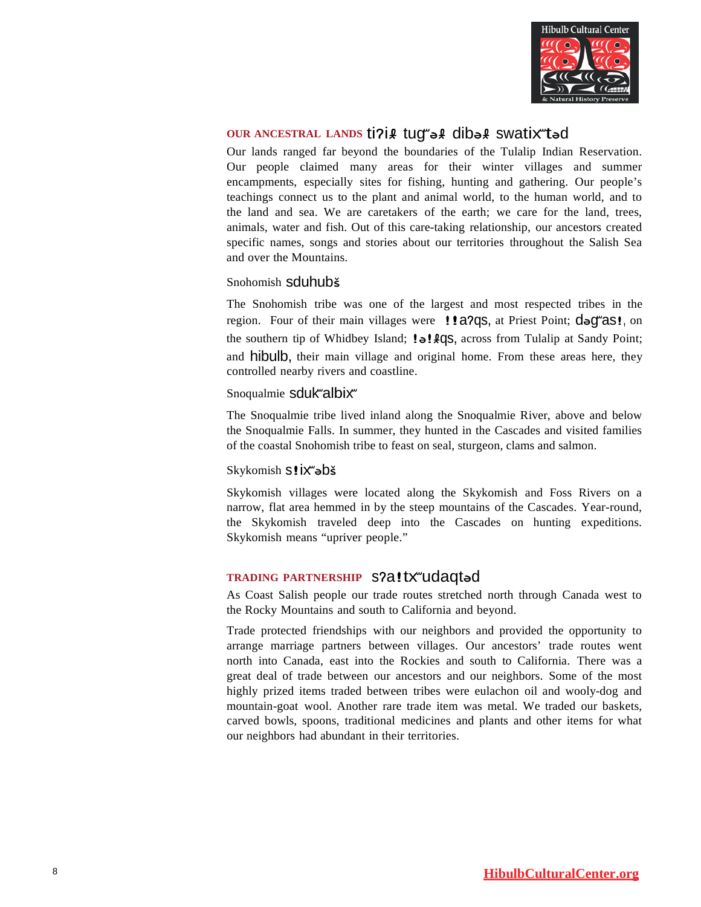

# **OUR ANCESTRAL LANDS** tiʔiɬ tugʷəɬ dibəɬ swatixʷtə<sup>d</sup>

Our lands ranged far beyond the boundaries of the Tulalip Indian Reservation. Our people claimed many areas for their winter villages and summer encampments, especially sites for fishing, hunting and gathering. Our people's teachings connect us to the plant and animal world, to the human world, and to the land and sea. We are caretakers of the earth; we care for the land, trees, animals, water and fish. Out of this care-taking relationship, our ancestors created specific names, songs and stories about our territories throughout the Salish Sea and over the Mountains.

# Snohomish sduhubš

The Snohomish tribe was one of the largest and most respected tribes in the region. Four of their main villages were !! a?qs, at Priest Point; dag as!, on the southern tip of Whidbey Island; !a!  $qqs$ , across from Tulalip at Sandy Point; and **hibulb**, their main village and original home. From these areas here, they controlled nearby rivers and coastline.

# Snoqualmie sduk"albix"

The Snoqualmie tribe lived inland along the Snoqualmie River, above and below the Snoqualmie Falls. In summer, they hunted in the Cascades and visited families of the coastal Snohomish tribe to feast on seal, sturgeon, clams and salmon.

# Skykomish S! İX<sup>w</sup>əbš

Skykomish villages were located along the Skykomish and Foss Rivers on a narrow, flat area hemmed in by the steep mountains of the Cascades. Year-round, the Skykomish traveled deep into the Cascades on hunting expeditions. Skykomish means "upriver people."

# **TRADING PARTNERSHIP** sʔ<sup>a</sup>!txʷudaqtə<sup>d</sup>

As Coast Salish people our trade routes stretched north through Canada west to the Rocky Mountains and south to California and beyond.

Trade protected friendships with our neighbors and provided the opportunity to arrange marriage partners between villages. Our ancestors' trade routes went north into Canada, east into the Rockies and south to California. There was a great deal of trade between our ancestors and our neighbors. Some of the most highly prized items traded between tribes were eulachon oil and wooly-dog and mountain-goat wool. Another rare trade item was metal. We traded our baskets, carved bowls, spoons, traditional medicines and plants and other items for what our neighbors had abundant in their territories.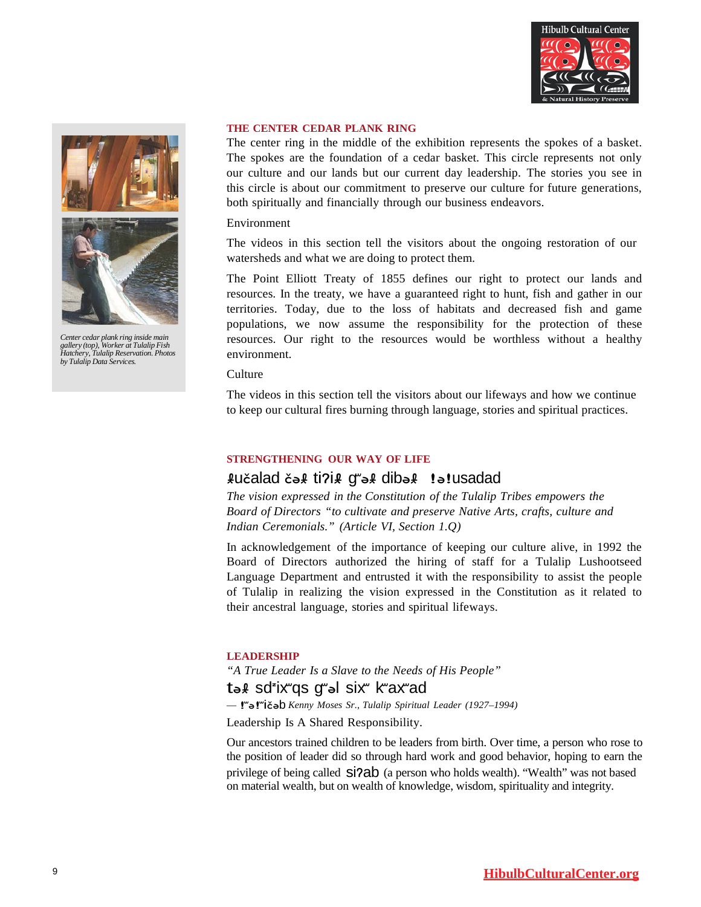





Center cedar plank ring inside main<br>gallery (top), Worker at Tulalip Fish<br>Hatchery, Tulalip Reservation. Photos *by Tulalip Data Services.*

#### **THE CENTER CEDAR PLANK RING**

The center ring in the middle of the exhibition represents the spokes of a basket. The spokes are the foundation of a cedar basket. This circle represents not only our culture and our lands but our current day leadership. The stories you see in this circle is about our commitment to preserve our culture for future generations, both spiritually and financially through our business endeavors.

#### Environment

The videos in this section tell the visitors about the ongoing restoration of our watersheds and what we are doing to protect them.

The Point Elliott Treaty of 1855 defines our right to protect our lands and resources. In the treaty, we have a guaranteed right to hunt, fish and gather in our territories. Today, due to the loss of habitats and decreased fish and game populations, we now assume the responsibility for the protection of these resources. Our right to the resources would be worthless without a healthy environment.

#### Culture

The videos in this section tell the visitors about our lifeways and how we continue to keep our cultural fires burning through language, stories and spiritual practices.

#### **STRENGTHENING OUR WAY OF LIFE**

# <sup>ɬ</sup>učalad čəɬ tiʔiɬ <sup>g</sup>ʷəɬ dibəɬ !ə!usadad

*The vision expressed in the Constitution of the Tulalip Tribes empowers the Board of Directors "to cultivate and preserve Native Arts, crafts, culture and Indian Ceremonials." (Article VI, Section 1.Q)*

In acknowledgement of the importance of keeping our culture alive, in 1992 the Board of Directors authorized the hiring of staff for a Tulalip Lushootseed Language Department and entrusted it with the responsibility to assist the people of Tulalip in realizing the vision expressed in the Constitution as it related to their ancestral language, stories and spiritual lifeways.

#### **LEADERSHIP**

*"A True Leader Is a Slave to the Needs of His People"* təɬ sdᶻixʷqs gʷəl sixʷ kʷaxʷad

— !ʷə!ʷičə<sup>b</sup> *Kenny Moses Sr., Tulalip Spiritual Leader (1927–1994)*

Leadership Is A Shared Responsibility.

Our ancestors trained children to be leaders from birth. Over time, a person who rose to the position of leader did so through hard work and good behavior, hoping to earn the privilege of being called **Si** $\overline{2ab}$  (a person who holds wealth). "Wealth" was not based on material wealth, but on wealth of knowledge, wisdom, spirituality and integrity.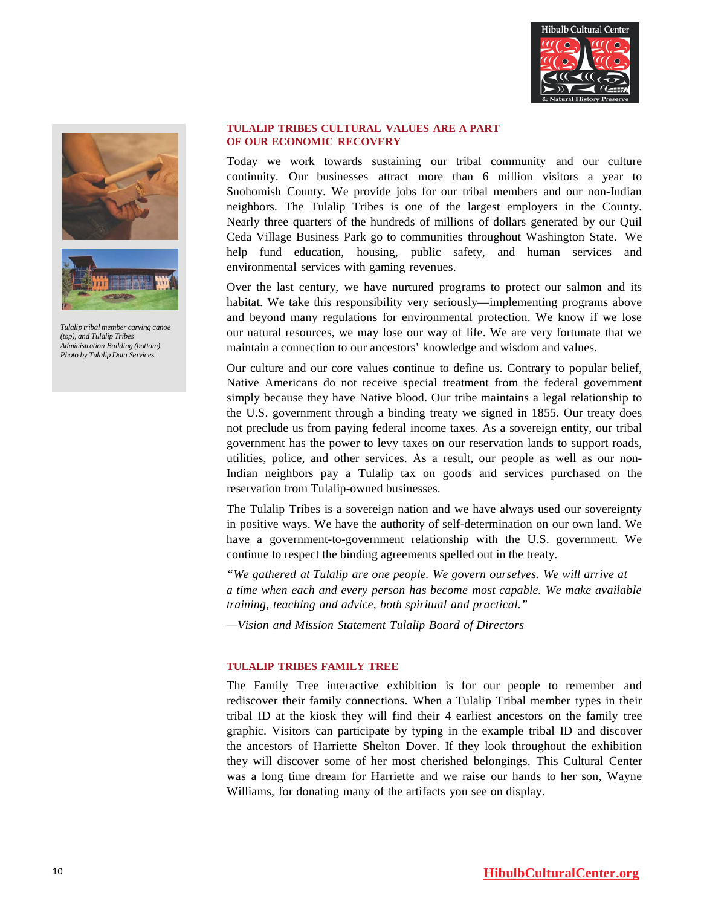



*Tulalip tribal member carving canoe (top), and Tulalip Tribes Administration Building (bottom). Photo by Tulalip Data Services.*

#### **TULALIP TRIBES CULTURAL VALUES ARE A PART OF OUR ECONOMIC RECOVERY**

Today we work towards sustaining our tribal community and our culture continuity. Our businesses attract more than 6 million visitors a year to Snohomish County. We provide jobs for our tribal members and our non-Indian neighbors. The Tulalip Tribes is one of the largest employers in the County. Nearly three quarters of the hundreds of millions of dollars generated by our Quil Ceda Village Business Park go to communities throughout Washington State. We help fund education, housing, public safety, and human services and environmental services with gaming revenues.

Over the last century, we have nurtured programs to protect our salmon and its habitat. We take this responsibility very seriously—implementing programs above and beyond many regulations for environmental protection. We know if we lose our natural resources, we may lose our way of life. We are very fortunate that we maintain a connection to our ancestors' knowledge and wisdom and values.

Our culture and our core values continue to define us. Contrary to popular belief, Native Americans do not receive special treatment from the federal government simply because they have Native blood. Our tribe maintains a legal relationship to the U.S. government through a binding treaty we signed in 1855. Our treaty does not preclude us from paying federal income taxes. As a sovereign entity, our tribal government has the power to levy taxes on our reservation lands to support roads, utilities, police, and other services. As a result, our people as well as our non-Indian neighbors pay a Tulalip tax on goods and services purchased on the reservation from Tulalip-owned businesses.

The Tulalip Tribes is a sovereign nation and we have always used our sovereignty in positive ways. We have the authority of self-determination on our own land. We have a government-to-government relationship with the U.S. government. We continue to respect the binding agreements spelled out in the treaty.

*"We gathered at Tulalip are one people. We govern ourselves. We will arrive at a time when each and every person has become most capable. We make available training, teaching and advice, both spiritual and practical."*

*—Vision and Mission Statement Tulalip Board of Directors*

#### **TULALIP TRIBES FAMILY TREE**

The Family Tree interactive exhibition is for our people to remember and rediscover their family connections. When a Tulalip Tribal member types in their tribal ID at the kiosk they will find their 4 earliest ancestors on the family tree graphic. Visitors can participate by typing in the example tribal ID and discover the ancestors of Harriette Shelton Dover. If they look throughout the exhibition they will discover some of her most cherished belongings. This Cultural Center was a long time dream for Harriette and we raise our hands to her son, Wayne Williams, for donating many of the artifacts you see on display.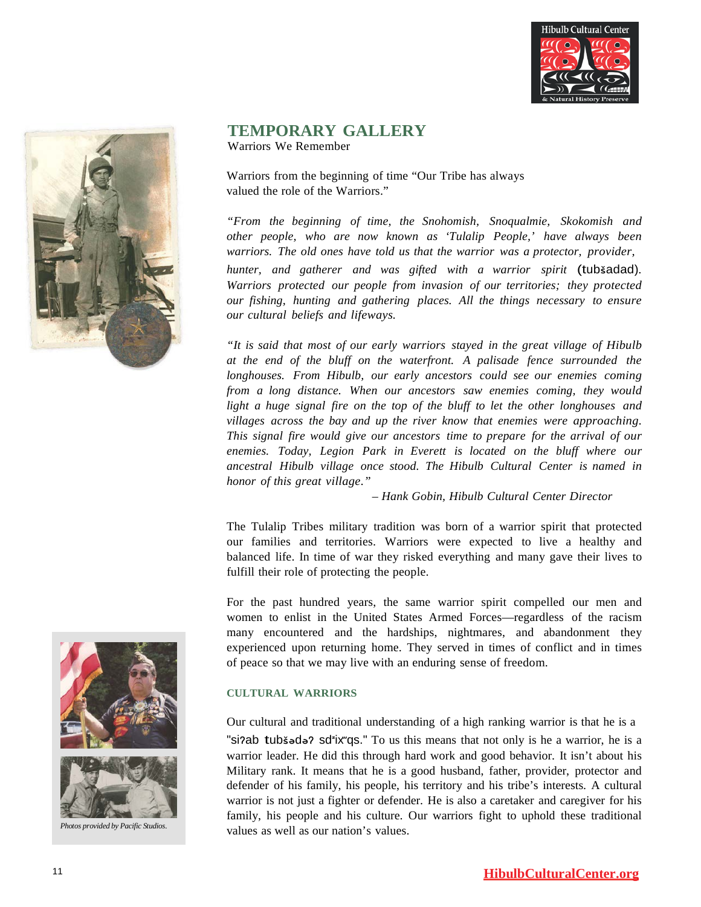



#### **TEMPORARY GALLERY** Warriors We Remember

Warriors from the beginning of time "Our Tribe has always valued the role of the Warriors."

*"From the beginning of time, the Snohomish, Snoqualmie, Skokomish and other people, who are now known as 'Tulalip People,' have always been warriors. The old ones have told us that the warrior was a protector, provider,*

*hunter, and gatherer and was gifted with a warrior spirit* (tubšadad)*. Warriors protected our people from invasion of our territories; they protected our fishing, hunting and gathering places. All the things necessary to ensure our cultural beliefs and lifeways.*

*"It is said that most of our early warriors stayed in the great village of Hibulb at the end of the bluff on the waterfront. A palisade fence surrounded the longhouses. From Hibulb, our early ancestors could see our enemies coming from a long distance. When our ancestors saw enemies coming, they would light a huge signal fire on the top of the bluff to let the other longhouses and villages across the bay and up the river know that enemies were approaching. This signal fire would give our ancestors time to prepare for the arrival of our enemies. Today, Legion Park in Everett is located on the bluff where our ancestral Hibulb village once stood. The Hibulb Cultural Center is named in honor of this great village."*

*– Hank Gobin, Hibulb Cultural Center Director*

The Tulalip Tribes military tradition was born of a warrior spirit that protected our families and territories. Warriors were expected to live a healthy and balanced life. In time of war they risked everything and many gave their lives to fulfill their role of protecting the people.

For the past hundred years, the same warrior spirit compelled our men and women to enlist in the United States Armed Forces—regardless of the racism many encountered and the hardships, nightmares, and abandonment they experienced upon returning home. They served in times of conflict and in times of peace so that we may live with an enduring sense of freedom.

# **CULTURAL WARRIORS**

Our cultural and traditional understanding of a high ranking warrior is that he is a "si?ab tubšədə? sd<sup>z</sup>ix qs." To us this means that not only is he a warrior, he is a warrior leader. He did this through hard work and good behavior. It isn't about his Military rank. It means that he is a good husband, father, provider, protector and defender of his family, his people, his territory and his tribe's interests. A cultural warrior is not just a fighter or defender. He is also a caretaker and caregiver for his family, his people and his culture. Our warriors fight to uphold these traditional values as well as our nation's values.



*Photos provided by Pacific Studios.*